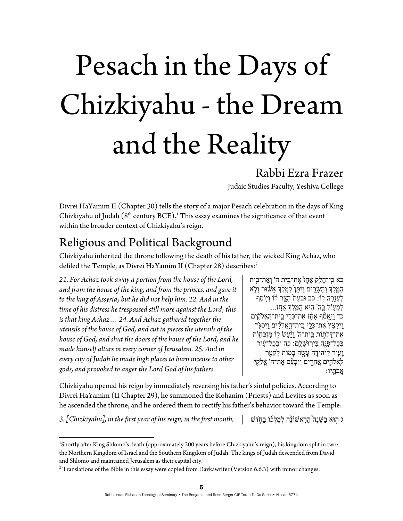# Pesach in the Days of Chizkiyahu - the Dream and the Reality

#### Rabbi Ezra Frazer

Judaic Studies Faculty, Yeshiva College

Divrei HaYamim II (Chapter 30) tells the story of a major Pesach celebration in the days of King Chizkiyahu of Judah  $(8<sup>th</sup>$  century BCE).<sup>1</sup> This essay examines the significance of that event within the broader context of Chizkiyahu's reign.

## Religious and Political Background

Chizkiyahu inherited the throne following the death of his father, the wicked King Achaz, who defiled the Temple, as Divrei HaYamim II (Chapter 28) describes:<sup>2</sup>

*21. For Achaz took away a portion from the house of the Lord, and from the house of the king, and from the princes, and gave it to the king of Assyria; but he did not help him. 22. And in the time of his distress he trespassed still more against the Lord; this is that king Achaz… 24. And Achaz gathered together the utensils of the house of God, and cut in pieces the utensils of the house of God, and shut the doors of the house of the Lord, and he made himself altars in every corner of Jerusalem. 25. And in every city of Judah he made high places to burn incense to other gods, and provoked to anger the Lord God of his fathers.* 

כא כִּי־חַלֵק אַחֲז אֶת־בֵּית ה' וְאֱת־בֵּית ַהֶ֖מּ ֶלְך ְו ַה ָשִּׂ֑רים ַויִּ ֵתּ֙ן ְלֶ֣מ ֶלְך ַא ֔שּׁוּר ְוֹ֥לא ַלְעֶּזֶרָה לְוֹ: כב וּבְעֵת הָצֵר לֹוֹ וַיִּוֹסֶף ַלְמְעִוֹל בַּה' הָוּא הַמֶּלֶךְ אָחֳז... ְכד וַיֵּאֲסֹף אֲחֶוֹ אֶת־כָּלֵי בֵית־הָאֱלֹקִים ַוַיְקַצֵּץ אֶת־כָּלֵי בֵית־הָאֱלֹקִים וַיִּסְגָּר אֶת־דַּלְתְוֹת בֵּית־ה' וַיַּעֲשׂ לְוֹ מִזְבָּחֶוֹת בְּבָל־פְּנָה בִּירְוּשָׁלָם: כה וּבְבָל־עָוּר ַ וָעִיר לִיהוּדָה עָעֲזָה בָמוֹת לְקַטֵּר ֵלֵאלֹהִים אֲחֵרִים וַיַּכְעֵືׁס אֵת־ה' אֱלֹקִי ֲאבָֹתֽיו:

Chizkiyahu opened his reign by immediately reversing his father's sinful policies. According to Divrei HaYamim (II Chapter 29), he summoned the Kohanim (Priests) and Levites as soon as he ascended the throne, and he ordered them to rectify his father's behavior toward the Temple:

ג ֣הוּא ַב ָשּׁנָ֩ה ָהִ ֽר ֨ אשׁוֹנָה ְל ָמ ְל֜כוֹ ַבּ ֣חֶֹדשׁ *,month first the in ,reign his of year first the in ,]Chizkiyahu [3.*

 1 Shortly after King Shlomo's death (approximately 200 years before Chizkiyahu's reign), his kingdom split in two: the Northern Kingdom of Israel and the Southern Kingdom of Judah. The kings of Judah descended from David and Shlomo and maintained Jerusalem as their capital city.

 $^2$  Translations of the Bible in this essay were copied from Davkawriter (Version 6.6.3) with minor changes.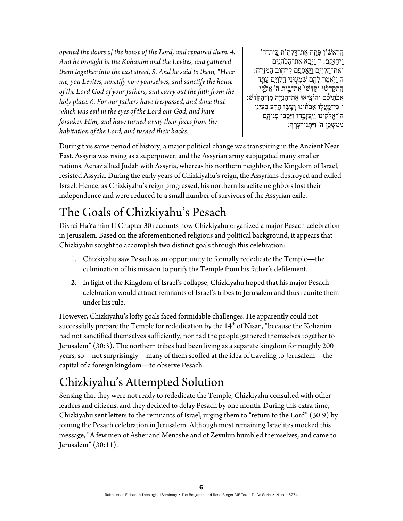*opened the doors of the house of the Lord, and repaired them. 4. And he brought in the Kohanim and the Levites, and gathered them together into the east street, 5. And he said to them, "Hear me, you Levites, sanctify now yourselves, and sanctify the house of the Lord God of your fathers, and carry out the filth from the holy place. 6. For our fathers have trespassed, and done that which was evil in the eyes of the Lord our God, and have forsaken Him, and have turned away their faces from the habitation of the Lord, and turned their backs.* 

ָהֶרְאשׁוֹן פָּתָח אֶת־דַּלְתְוֹת בֵּית־ה' ַוְיִחֲזָּקֶם: ד וַיַּבֵא אֱת־הַכְּהֲנִים וְאֶת־הָלְוַיִּם <u>וַיְ</u>אַסְפֵם לְרְחָוֹב הַמִּזְרָה: ה וַיֹּאמֶר לָהֶם שְׁמָעִוּנִי הַלְוַיִּם עַתֲה ּהָתְקַדְּשׁׁוּ וְקַדְּשׁוּ אֶת־בֵּית ה' אֱלֹקִי ָאֲבְהֵיכֶם וְהוֹצִיאוּ אֶת־הַנְּדֶּה מְן־הַקְּדֶשׁ: ו כִּי־מֳעֲלִוּ אֲבֹתֵ֫ינוּ וְעָשָׂוּ הָרֶע בְּעֵינֵי ה'־אֱלֵֹקִינוּ וַיַּעַזְָבֶהוּ וַיַּסֵפוּ פְנֵידֶ*ֶ*ם מִ*מְשָׁכֵּן ה' וַיִּתְּ*נוּ־עָׂרֵף:

During this same period of history, a major political change was transpiring in the Ancient Near East. Assyria was rising as a superpower, and the Assyrian army subjugated many smaller nations. Achaz allied Judah with Assyria, whereas his northern neighbor, the Kingdom of Israel, resisted Assyria. During the early years of Chizkiyahu's reign, the Assyrians destroyed and exiled Israel. Hence, as Chizkiyahu's reign progressed, his northern Israelite neighbors lost their independence and were reduced to a small number of survivors of the Assyrian exile.

# The Goals of Chizkiyahu's Pesach

Divrei HaYamim II Chapter 30 recounts how Chizkiyahu organized a major Pesach celebration in Jerusalem. Based on the aforementioned religious and political background, it appears that Chizkiyahu sought to accomplish two distinct goals through this celebration:

- 1. Chizkiyahu saw Pesach as an opportunity to formally rededicate the Temple—the culmination of his mission to purify the Temple from his father's defilement.
- 2. In light of the Kingdom of Israel's collapse, Chizkiyahu hoped that his major Pesach celebration would attract remnants of Israel's tribes to Jerusalem and thus reunite them under his rule.

However, Chizkiyahu's lofty goals faced formidable challenges. He apparently could not successfully prepare the Temple for rededication by the  $14<sup>th</sup>$  of Nisan, "because the Kohanim had not sanctified themselves sufficiently, nor had the people gathered themselves together to Jerusalem" (30:3). The northern tribes had been living as a separate kingdom for roughly 200 years, so—not surprisingly—many of them scoffed at the idea of traveling to Jerusalem—the capital of a foreign kingdom—to observe Pesach.

# Chizkiyahu's Attempted Solution

Sensing that they were not ready to rededicate the Temple, Chizkiyahu consulted with other leaders and citizens, and they decided to delay Pesach by one month. During this extra time, Chizkiyahu sent letters to the remnants of Israel, urging them to "return to the Lord" (30:9) by joining the Pesach celebration in Jerusalem. Although most remaining Israelites mocked this message, "A few men of Asher and Menashe and of Zevulun humbled themselves, and came to Jerusalem" (30:11).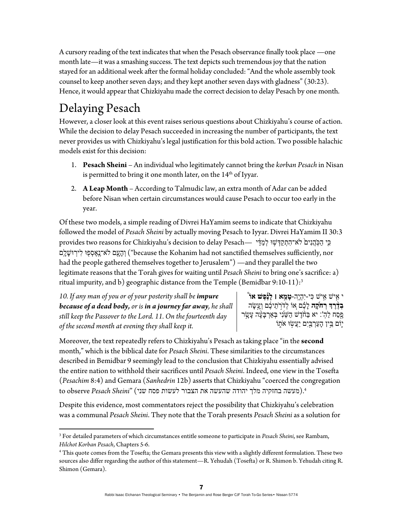A cursory reading of the text indicates that when the Pesach observance finally took place —one month late—it was a smashing success. The text depicts such tremendous joy that the nation stayed for an additional week after the formal holiday concluded: "And the whole assembly took counsel to keep another seven days; and they kept another seven days with gladness" (30:23). Hence, it would appear that Chizkiyahu made the correct decision to delay Pesach by one month.

## Delaying Pesach

However, a closer look at this event raises serious questions about Chizkiyahu's course of action. While the decision to delay Pesach succeeded in increasing the number of participants, the text never provides us with Chizkiyahu's legal justification for this bold action. Two possible halachic models exist for this decision:

- 1. **Pesach Sheini** An individual who legitimately cannot bring the *korban Pesach* in Nisan is permitted to bring it one month later, on the  $14<sup>th</sup>$  of Iyyar.
- 2. **A Leap Month**  According to Talmudic law, an extra month of Adar can be added before Nisan when certain circumstances would cause Pesach to occur too early in the year.

Of these two models, a simple reading of Divrei HaYamim seems to indicate that Chizkiyahu followed the model of *Pesach Sheini* by actually moving Pesach to Iyyar. Divrei HaYamim II 30:3 ָפִי הַכְּהֵנִים ׁלֹא־הִתְקַדְּשִׁוּ לְמַדֵּי —provides two reasons for Chizkiyahu's decision to delay Pesach וְהָעָם לֹא־נֵאֱסְפִוּ לְירוּשָׁלֵם ("because the Kohanim had not sanctified themselves sufficiently, nor had the people gathered themselves together to Jerusalem") —and they parallel the two legitimate reasons that the Torah gives for waiting until *Pesach Sheini* to bring one's sacrifice: a) ritual impurity, and b) geographic distance from the Temple (Bemidbar 9:10-11): $3$ 

*10. If any man of you or of your posterity shall be impure because of a dead body, or is in a journey far away, he shall still keep the Passover to the Lord. 11. On the fourteenth day of the second month at evening they shall keep it.* 

י ִ֣אישׁ ִ֣אישׁ ִכּי-יִ ְהֶיֽה- **ָטֵ֣מא ׀ ָל֡נֶ ֶפשׁ ֩אוֹ ִבְדֶרְךָ רְחִׂקֵֽה** לָבֶׁם אוֹ לְדֹרְתֵיבֶ֫ם וְעָשָׂה ָפֵסַח לַהְ': יא בַּחֹדֵשׁ הַשֵּׁנִי ּבְאַרְבָּעָּה עָשָׂר יֵוֹם בִּין הַעַרְבַּיִם יַעֲשׂוּ אֹתוֹ

Moreover, the text repeatedly refers to Chizkiyahu's Pesach as taking place "in the **second** month," which is the biblical date for *Pesach Sheini*. These similarities to the circumstances described in Bemidbar 9 seemingly lead to the conclusion that Chizkiyahu essentially advised the entire nation to withhold their sacrifices until *Pesach Sheini*. Indeed, one view in the Tosefta (*Pesachim* 8:4) and Gemara (*Sanhedrin* 12b) asserts that Chizkiyahu "coerced the congregation .4(מעשה בחזקיה מלך יהודה שהעשה את הצבור לעשות פסח שני) "*Sheini Pesach* observe to

Despite this evidence, most commentators reject the possibility that Chizkiyahu's celebration was a communal *Pesach Sheini*. They note that the Torah presents *Pesach Sheini* as a solution for

 3 For detailed parameters of which circumstances entitle someone to participate in *Pesach Sheini*, see Rambam, *Hilchot Korban Pesach*, Chapters 5-6. 4

This quote comes from the Tosefta; the Gemara presents this view with a slightly different formulation. These two sources also differ regarding the author of this statement—R. Yehudah (Tosefta) or R. Shimon b. Yehudah citing R. Shimon (Gemara).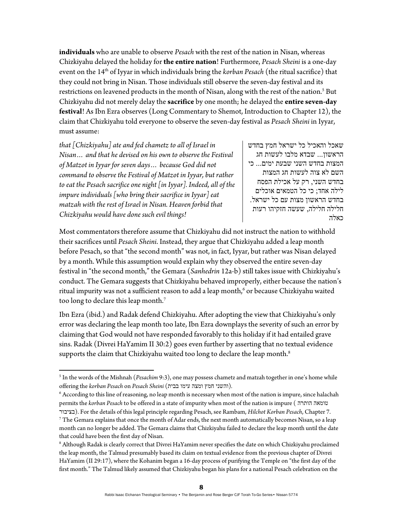**individuals** who are unable to observe *Pesach* with the rest of the nation in Nisan, whereas Chizkiyahu delayed the holiday for **the entire nation**! Furthermore, *Pesach Sheini* is a one-day event on the 14<sup>th</sup> of Iyyar in which individuals bring the *korban Pesach* (the ritual sacrifice) that they could not bring in Nisan. Those individuals still observe the seven-day festival and its restrictions on leavened products in the month of Nisan, along with the rest of the nation.<sup>5</sup> But Chizkiyahu did not merely delay the **sacrifice** by one month; he delayed the **entire seven-day festival**! As Ibn Ezra observes (Long Commentary to Shemot, Introduction to Chapter 12), the claim that Chizkiyahu told everyone to observe the seven-day festival as *Pesach Sheini* in Iyyar, must assume:

*that [Chizkiyahu] ate and fed chametz to all of Israel in Nisan… and that he devised on his own to observe the Festival of Matzot in Iyyar for seven days… because God did not command to observe the Festival of Matzot in Iyyar, but rather to eat the Pesach sacrifice one night [in Iyyar]. Indeed, all of the impure individuals [who bring their sacrifice in Iyyar] eat matzah with the rest of Israel in Nisan. Heaven forbid that Chizkiyahu would have done such evil things!* 

שאכל והאכיל כל ישראל חמץ בחדש הראשון... שבדא מלבו לעשות חג המצות בחדש השני שבעת ימים... כי השם לא צוה לעשות חג המצות בחדש השני, רק על אכילת הפסח לילה אחד; כי כל הטמאים אוכלים בחדש הראשון מצות עם כל ישראל. חלילה חלילה, שעשה חזקיהו רעות כאלה

Most commentators therefore assume that Chizkiyahu did not instruct the nation to withhold their sacrifices until *Pesach Sheini*. Instead, they argue that Chizkiyahu added a leap month before Pesach, so that "the second month" was not, in fact, Iyyar, but rather was Nisan delayed by a month. While this assumption would explain why they observed the entire seven-day festival in "the second month," the Gemara (*Sanhedrin* 12a-b) still takes issue with Chizkiyahu's conduct. The Gemara suggests that Chizkiyahu behaved improperly, either because the nation's ritual impurity was not a sufficient reason to add a leap month, $^6$  or because Chizkiyahu waited too long to declare this leap month.<sup>7</sup>

Ibn Ezra (ibid.) and Radak defend Chizkiyahu. After adopting the view that Chizkiyahu's only error was declaring the leap month too late, Ibn Ezra downplays the severity of such an error by claiming that God would not have responded favorably to this holiday if it had entailed grave sins. Radak (Divrei HaYamim II 30:2) goes even further by asserting that no textual evidence supports the claim that Chizkiyahu waited too long to declare the leap month.<sup>8</sup>

<sup>5</sup> In the words of the Mishnah (*Pesachim* 9:3), one may possess chametz and matzah together in one's home while offering the *korban Pesach* on *Pesach Sheini* (בבית עימו ומצה חמץ והשני(*.*

 $^6$  According to this line of reasoning, no leap month is necessary when most of the nation is impure, since halachah permits the *korban Pesach* to be offered in a state of impurity when most of the nation is impure ( הותרה טומאה

בציבור(. For the details of this legal principle regarding Pesach, see Rambam, *Hilchot Korban Pesach*, Chapter 7. 7 <sup>7</sup> The Gemara explains that once the month of Adar ends, the next month automatically becomes Nisan, so a leap month can no longer be added. The Gemara claims that Chizkiyahu failed to declare the leap month until the date that could have been the first day of Nisan.

<sup>8</sup> Although Radak is clearly correct that Divrei HaYamim never specifies the date on which Chizkiyahu proclaimed the leap month, the Talmud presumably based its claim on textual evidence from the previous chapter of Divrei HaYamim (II 29:17), where the Kohanim began a 16-day process of purifying the Temple on "the first day of the first month." The Talmud likely assumed that Chizkiyahu began his plans for a national Pesach celebration on the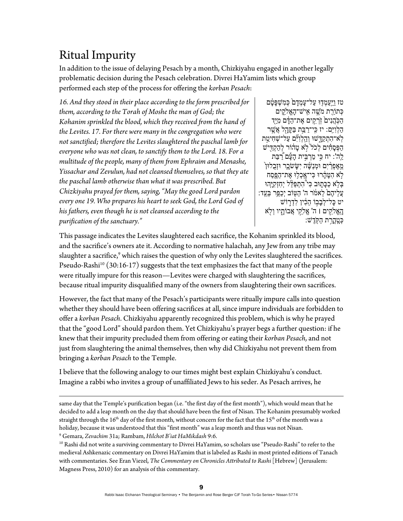## Ritual Impurity

In addition to the issue of delaying Pesach by a month, Chizkiyahu engaged in another legally problematic decision during the Pesach celebration. Divrei HaYamim lists which group performed each step of the process for offering the *korban Pesach*:

*16. And they stood in their place according to the form prescribed for them, according to the Torah of Moshe the man of God; the Kohanim sprinkled the blood, which they received from the hand of the Levites. 17. For there were many in the congregation who were not sanctified; therefore the Levites slaughtered the paschal lamb for everyone who was not clean, to sanctify them to the Lord. 18. For a multitude of the people, many of them from Ephraim and Menashe, Yissachar and Zevulun, had not cleansed themselves, so that they ate the paschal lamb otherwise than what it was prescribed. But Chizkiyahu prayed for them, saying, "May the good Lord pardon every one 19. Who prepares his heart to seek God, the Lord God of his fathers, even though he is not cleansed according to the purification of the sanctuary."* 

טז ויִעמָדוּ על־עמִדם כִּמשִׁפּטֹם ְכּ ַ֖תוֹרת מֶֹ֣שׁה ִאֽ ָ ישׁ־הֱא ִֹ֑לקים הַכְּהֲנִים ׁוֹרְקֵים אֶת־הַדָּם מְיַד ַה ְל ִו ִיּֽם: יז ִכּֽ ַ י־רַ֥בּת ַבּ ָקָּ֖הל ֲא ֶ֣שׁר לְא־הִתְקַדָּשׁוּ וְהַלְוְיִּם עַל־שָׁחִיטַת הַפְּסָחִים לְכֹל<sup>י</sup>לְא טָהוֹר לְהַקְדִּישׁ ַלֶה': יח כִּי מַרְבִּית הָעָືם [רַבַּת מֵאֵפְרַיִם וּמְנַשֵּׁה יִשָּׂשֹכָר וּזְבָלוּן  $\zeta$ ֹ֣לא ִה ֶטּ ָ֔הרוּ ִכּ ָ י־אֽ ְכ֥לוּ ֶא ַ ת־הֶ֖פּ ַסח ַבְּלְא כַּבָּתֶוּב כִּי<sup>9</sup>הִתְפַּלֵּל יְחִזְקִיָּהוּ ָעֲלֵיהֶם לֵאמֹר ה' הַטִּוֹב יִכַפֵּר בְעֵד: יט כָּל־לְבָבְוֹ הֵלִין לְדְרָוֹשׁ ָהֱֽא ִֹ֥לקים ׀ ה' ֱא ֵֹ֣לקי ֲא ָ֑ בוֹתיו ְוֹ֖לא ְכָּטֳֽהַ֥רת ַה ֽקֶֹּדשׁ:

This passage indicates the Levites slaughtered each sacrifice, the Kohanim sprinkled its blood, and the sacrifice's owners ate it. According to normative halachah, any Jew from any tribe may slaughter a sacrifice,<sup>9</sup> which raises the question of why only the Levites slaughtered the sacrifices. Pseudo-Rashi<sup>10</sup> (30:16-17) suggests that the text emphasizes the fact that many of the people were ritually impure for this reason—Levites were charged with slaughtering the sacrifices, because ritual impurity disqualified many of the owners from slaughtering their own sacrifices.

However, the fact that many of the Pesach's participants were ritually impure calls into question whether they should have been offering sacrifices at all, since impure individuals are forbidden to offer a *korban Pesach*. Chizkiyahu apparently recognized this problem, which is why he prayed that the "good Lord" should pardon them. Yet Chizkiyahu's prayer begs a further question: if he knew that their impurity precluded them from offering or eating their *korban Pesach*, and not just from slaughtering the animal themselves, then why did Chizkiyahu not prevent them from bringing a *korban Pesach* to the Temple*.* 

I believe that the following analogy to our times might best explain Chizkiyahu's conduct. Imagine a rabbi who invites a group of unaffiliated Jews to his seder. As Pesach arrives, he

<u> 1989 - Johann Stoff, amerikansk politiker (d. 1989)</u> same day that the Temple's purification began (i.e. "the first day of the first month"), which would mean that he decided to add a leap month on the day that should have been the first of Nisan. The Kohanim presumably worked straight through the  $16^{th}$  day of the first month, without concern for the fact that the  $15^{th}$  of the month was a holiday, because it was understood that this "first month" was a leap month and thus was not Nisan.

<sup>9</sup> Gemara, Zevachim 31a; Rambam, Hilchot B'iat HaMikdash 9:6.

<sup>&</sup>lt;sup>10</sup> Rashi did not write a surviving commentary to Divrei HaYamim, so scholars use "Pseudo-Rashi" to refer to the medieval Ashkenazic commentary on Divrei HaYamim that is labeled as Rashi in most printed editions of Tanach with commentaries. See Eran Viezel, *The Commentary on Chronicles Attributed to Rashi* [Hebrew] (Jerusalem: Magness Press, 2010) for an analysis of this commentary.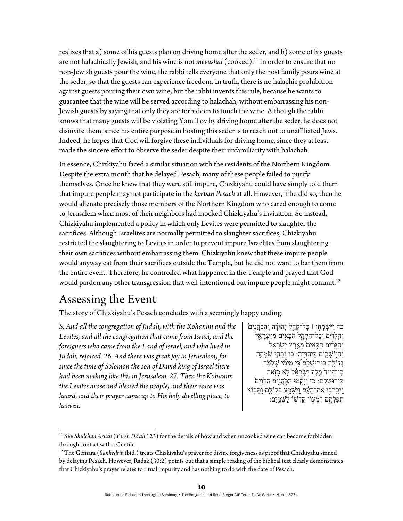realizes that a) some of his guests plan on driving home after the seder, and b) some of his guests are not halachically Jewish, and his wine is not *mevushal* (cooked).11 In order to ensure that no non-Jewish guests pour the wine, the rabbi tells everyone that only the host family pours wine at the seder, so that the guests can experience freedom. In truth, there is no halachic prohibition against guests pouring their own wine, but the rabbi invents this rule, because he wants to guarantee that the wine will be served according to halachah, without embarrassing his non-Jewish guests by saying that only they are forbidden to touch the wine. Although the rabbi knows that many guests will be violating Yom Tov by driving home after the seder, he does not disinvite them, since his entire purpose in hosting this seder is to reach out to unaffiliated Jews. Indeed, he hopes that God will forgive these individuals for driving home, since they at least made the sincere effort to observe the seder despite their unfamiliarity with halachah*.* 

In essence, Chizkiyahu faced a similar situation with the residents of the Northern Kingdom. Despite the extra month that he delayed Pesach, many of these people failed to purify themselves. Once he knew that they were still impure, Chizkiyahu could have simply told them that impure people may not participate in the *korban Pesach* at all. However, if he did so, then he would alienate precisely those members of the Northern Kingdom who cared enough to come to Jerusalem when most of their neighbors had mocked Chizkiyahu's invitation. So instead, Chizkiyahu implemented a policy in which only Levites were permitted to slaughter the sacrifices. Although Israelites are normally permitted to slaughter sacrifices, Chizkiyahu restricted the slaughtering to Levites in order to prevent impure Israelites from slaughtering their own sacrifices without embarrassing them. Chizkiyahu knew that these impure people would anyway eat from their sacrifices outside the Temple, but he did not want to bar them from the entire event. Therefore, he controlled what happened in the Temple and prayed that God would pardon any other transgression that well-intentioned but impure people might commit.<sup>12</sup>

#### Assessing the Event

The story of Chizkiyahu's Pesach concludes with a seemingly happy ending:

*5. And all the congregation of Judah, with the Kohanim and the Levites, and all the congregation that came from Israel, and the foreigners who came from the Land of Israel, and who lived in Judah, rejoiced. 26. And there was great joy in Jerusalem; for since the time of Solomon the son of David king of Israel there had been nothing like this in Jerusalem. 27. Then the Kohanim the Levites arose and blessed the people; and their voice was heard, and their prayer came up to His holy dwelling place, to heaven.* 

כה וַיִּשְׂמְחָוּ । כַּל־קָהָל יְהוּדַה וְהַכִּהֲנִים וְהַלְוִ<sup>ּנְ</sup>ם וְכָל־הַקָּהָל הַבָּאִים מִיִּשְׂרָאֵל וְהַגֵּרִים הַבָּאִים מֵאֲרֵץ יְשָׂרַאֵּל וְהַיְּוֹשָׁבִים בִּיהוּדֶה: כו וַתְּהֶי שִׂמְחָה גְדוֹלָה בִּירְוּשָׁלֵם כִּי מִימֵۢי שִׁלמָה ֶבֶן־דָּוִיד מֶלֶךְ יִשְׂרָאֵל לָא כָזִאת ּבִּירְוּשָׁלֶם: כז וַיָּקֻמוּ הַכְּהֲנִים הַלְוִיִּם ַוַיְבָרְכִוּ אֶת־הָעָּם וַיִּשָּׁמַע בְּקוֹלֶם וַתָּבְוֹא ְתִפְלַתֲם לְמִעְוֹן קַדְשָׁוֹ לַשָּׁמֵיִם:

<sup>11</sup> See *Shulchan Aruch* (*Yoreh De'ah* 123) for the details of how and when uncooked wine can become forbidden through contact with a Gentile.

<sup>&</sup>lt;sup>12</sup> The Gemara (*Sanhedrin* ibid.) treats Chizkiyahu's prayer for divine forgiveness as proof that Chizkiyahu sinned by delaying Pesach. However, Radak (30:2) points out that a simple reading of the biblical text clearly demonstrates that Chizkiyahu's prayer relates to ritual impurity and has nothing to do with the date of Pesach.